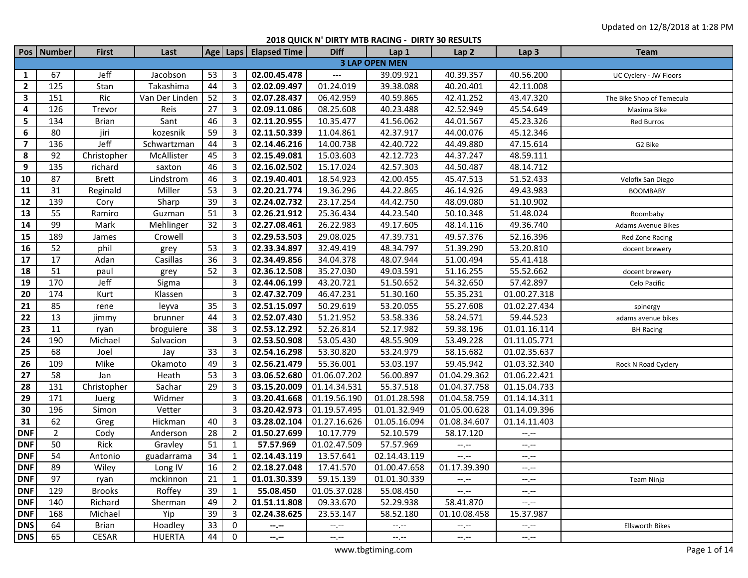|                         | Pos   Number   | <b>First</b>  | Last           |    |                | Age   Laps   Elapsed Time | <b>Diff</b>           | Lap 1                       | Lap <sub>2</sub>                              | Lap <sub>3</sub> | Team                      |
|-------------------------|----------------|---------------|----------------|----|----------------|---------------------------|-----------------------|-----------------------------|-----------------------------------------------|------------------|---------------------------|
|                         |                |               |                |    |                |                           |                       | <b>3 LAP OPEN MEN</b>       |                                               |                  |                           |
| 1                       | 67             | Jeff          | Jacobson       | 53 | 3              | 02.00.45.478              | $---$                 | 39.09.921                   | 40.39.357                                     | 40.56.200        | UC Cyclery - JW Floors    |
| $\overline{2}$          | 125            | Stan          | Takashima      | 44 | 3              | 02.02.09.497              | 01.24.019             | 39.38.088                   | 40.20.401                                     | 42.11.008        |                           |
| 3                       | 151            | Ric           | Van Der Linden | 52 | 3              | 02.07.28.437              | 06.42.959             | 40.59.865                   | 42.41.252                                     | 43.47.320        | The Bike Shop of Temecula |
| 4                       | 126            | Trevor        | Reis           | 27 | 3              | 02.09.11.086              | 08.25.608             | 40.23.488                   | 42.52.949                                     | 45.54.649        | Maxima Bike               |
| 5                       | 134            | <b>Brian</b>  | Sant           | 46 | 3              | 02.11.20.955              | 10.35.477             | 41.56.062                   | 44.01.567                                     | 45.23.326        | Red Burros                |
| 6                       | 80             | jiri          | kozesnik       | 59 | 3              | 02.11.50.339              | 11.04.861             | 42.37.917                   | 44.00.076                                     | 45.12.346        |                           |
| $\overline{\mathbf{z}}$ | 136            | Jeff          | Schwartzman    | 44 | 3              | 02.14.46.216              | 14.00.738             | 42.40.722                   | 44.49.880                                     | 47.15.614        | G2 Bike                   |
| 8                       | 92             | Christopher   | McAllister     | 45 | 3              | 02.15.49.081              | 15.03.603             | 42.12.723                   | 44.37.247                                     | 48.59.111        |                           |
| 9                       | 135            | richard       | saxton         | 46 | 3              | 02.16.02.502              | 15.17.024             | 42.57.303                   | 44.50.487                                     | 48.14.712        |                           |
| 10                      | 87             | <b>Brett</b>  | Lindstrom      | 46 | 3              | 02.19.40.401              | 18.54.923             | 42.00.455                   | 45.47.513                                     | 51.52.433        | Velofix San Diego         |
| 11                      | 31             | Reginald      | Miller         | 53 | 3              | 02.20.21.774              | 19.36.296             | 44.22.865                   | 46.14.926                                     | 49.43.983        | <b>BOOMBABY</b>           |
| 12                      | 139            | Cory          | Sharp          | 39 | 3              | 02.24.02.732              | 23.17.254             | 44.42.750                   | 48.09.080                                     | 51.10.902        |                           |
| 13                      | 55             | Ramiro        | Guzman         | 51 | 3              | 02.26.21.912              | 25.36.434             | 44.23.540                   | 50.10.348                                     | 51.48.024        | Boombaby                  |
| 14                      | 99             | Mark          | Mehlinger      | 32 | 3              | 02.27.08.461              | 26.22.983             | 49.17.605                   | 48.14.116                                     | 49.36.740        | Adams Avenue Bikes        |
| 15                      | 189            | James         | Crowell        |    | 3              | 02.29.53.503              | 29.08.025             | 47.39.731                   | 49.57.376                                     | 52.16.396        | Red Zone Racing           |
| 16                      | 52             | phil          | grey           | 53 | 3              | 02.33.34.897              | 32.49.419             | 48.34.797                   | 51.39.290                                     | 53.20.810        | docent brewery            |
| 17                      | 17             | Adan          | Casillas       | 36 | 3              | 02.34.49.856              | 34.04.378             | 48.07.944                   | 51.00.494                                     | 55.41.418        |                           |
| 18                      | 51             | paul          | grey           | 52 | 3              | 02.36.12.508              | 35.27.030             | 49.03.591                   | 51.16.255                                     | 55.52.662        | docent brewery            |
| 19                      | 170            | Jeff          | Sigma          |    | 3              | 02.44.06.199              | 43.20.721             | 51.50.652                   | 54.32.650                                     | 57.42.897        | Celo Pacific              |
| 20                      | 174            | Kurt          | Klassen        |    | 3              | 02.47.32.709              | 46.47.231             | 51.30.160                   | 55.35.231                                     | 01.00.27.318     |                           |
| 21                      | 85             | rene          | leyva          | 35 | 3              | 02.51.15.097              | 50.29.619             | 53.20.055                   | 55.27.608                                     | 01.02.27.434     | spinergy                  |
| 22                      | 13             | jimmy         | brunner        | 44 | 3              | 02.52.07.430              | 51.21.952             | 53.58.336                   | 58.24.571                                     | 59.44.523        | adams avenue bikes        |
| 23                      | 11             | ryan          | broguiere      | 38 | 3              | 02.53.12.292              | 52.26.814             | 52.17.982                   | 59.38.196                                     | 01.01.16.114     | <b>BH Racing</b>          |
| 24                      | 190            | Michael       | Salvacion      |    | 3              | 02.53.50.908              | 53.05.430             | 48.55.909                   | 53.49.228                                     | 01.11.05.771     |                           |
| 25                      | 68             | Joel          | Jay            | 33 | 3              | 02.54.16.298              | 53.30.820             | 53.24.979                   | 58.15.682                                     | 01.02.35.637     |                           |
| 26                      | 109            | Mike          | Okamoto        | 49 | 3              | 02.56.21.479              | 55.36.001             | 53.03.197                   | 59.45.942                                     | 01.03.32.340     | Rock N Road Cyclery       |
| 27                      | 58             | Jan           | Heath          | 53 | 3              | 03.06.52.680              | 01.06.07.202          | 56.00.897                   | 01.04.29.362                                  | 01.06.22.421     |                           |
| 28                      | 131            | Christopher   | Sachar         | 29 | 3              | 03.15.20.009              | 01.14.34.531          | 55.37.518                   | 01.04.37.758                                  | 01.15.04.733     |                           |
| 29                      | 171            | Juerg         | Widmer         |    | 3              | 03.20.41.668              | 01.19.56.190          | 01.01.28.598                | 01.04.58.759                                  | 01.14.14.311     |                           |
| 30                      | 196            | Simon         | Vetter         |    | 3              | 03.20.42.973              | 01.19.57.495          | 01.01.32.949                | 01.05.00.628                                  | 01.14.09.396     |                           |
| 31                      | 62             | Greg          | Hickman        | 40 | 3              | 03.28.02.104              | 01.27.16.626          | 01.05.16.094                | 01.08.34.607                                  | 01.14.11.403     |                           |
| <b>DNF</b>              | $\overline{2}$ | Cody          | Anderson       | 28 | 2              | 01.50.27.699              | 10.17.779             | 52.10.579                   | 58.17.120                                     | $-1, -1$         |                           |
| <b>DNF</b>              | 50             | Rick          | Gravley        | 51 | 1              | 57.57.969                 | 01.02.47.509          | 57.57.969                   | $\mathrel{\mathop:}=$ , $\mathrel{\mathop:}=$ | $-1, -1$         |                           |
| <b>DNF</b>              | 54             | Antonio       | guadarrama     | 34 | $\mathbf{1}$   | 02.14.43.119              | 13.57.641             | 02.14.43.119                | $-1, -1$                                      | $-1, -1$         |                           |
| <b>DNF</b>              | 89             | Wiley         | Long IV        | 16 | $\overline{2}$ | 02.18.27.048 17.41.570    |                       | 01.00.47.658   01.17.39.390 |                                               | $\sim$ $\sim$    |                           |
| <b>DNF</b>              | 97             | ryan          | mckinnon       | 21 | 1              | 01.01.30.339              | 59.15.139             | 01.01.30.339                | $-1$ , $-1$                                   | $-1. -1$         | Team Ninja                |
| <b>DNF</b>              | 129            | <b>Brooks</b> | Roffey         | 39 | 1              | 55.08.450                 | 01.05.37.028          | 55.08.450                   | $-1, -1$                                      | $-1, -1$         |                           |
| <b>DNF</b>              | 140            | Richard       | Sherman        | 49 | 2              | $\overline{01.51.11.808}$ | 09.33.670             | 52.29.938                   | 58.41.870                                     | $-1, -1$         |                           |
| <b>DNF</b>              | 168            | Michael       | Yip            | 39 | 3              | 02.24.38.625              | 23.53.147             | 58.52.180                   | 01.10.08.458                                  | 15.37.987        |                           |
| <b>DNS</b>              | 64             | <b>Brian</b>  | Hoadley        | 33 | 0              | $-1 - 1 - 1 = 0$          | $-\text{-},\text{-}-$ | $-1, -1$                    | $-\text{-},\text{-}-$                         | $-\mathcal{C}$   | <b>Ellsworth Bikes</b>    |
| <b>DNS</b>              | 65             | CESAR         | <b>HUERTA</b>  | 44 | $\mathbf{0}$   | $-2.00$                   | $-1, -1$              | $-1, -1$                    | $-1, -1$                                      | $-1, -1$         |                           |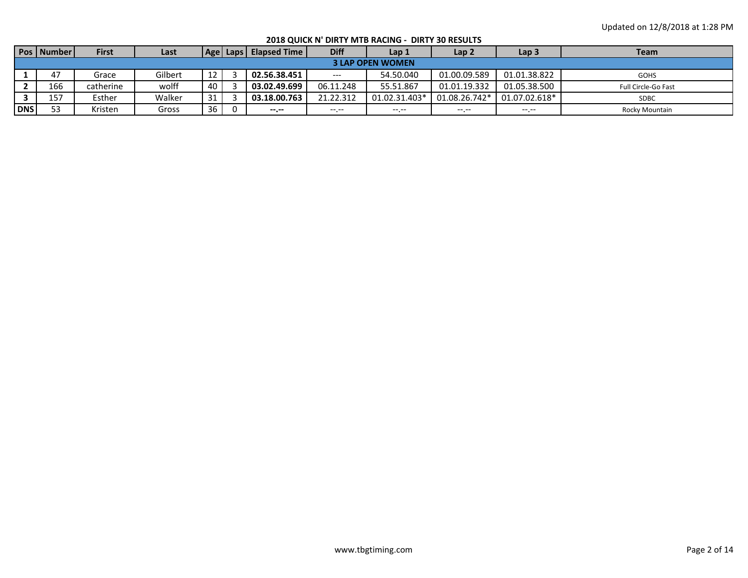**2018 QUICK N' DIRTY MTB RACING - DIRTY 30 RESULTS**

|            | <b>Pos   Number  </b> | <b>First</b> | Last    |    | Age   Laps | <b>Elapsed Time</b> | <b>Diff</b> | Lap 1                   | Lap <sub>2</sub> | Lap <sub>3</sub> | Team                |
|------------|-----------------------|--------------|---------|----|------------|---------------------|-------------|-------------------------|------------------|------------------|---------------------|
|            |                       |              |         |    |            |                     |             | <b>3 LAP OPEN WOMEN</b> |                  |                  |                     |
|            | 47                    | Grace        | Gilbert | 12 |            | 02.56.38.451        | $---$       | 54.50.040               | 01.00.09.589     | 01.01.38.822     | <b>GOHS</b>         |
|            | 166                   | catherine    | wolff   | 40 |            | 03.02.49.699        | 06.11.248   | 55.51.867               | 01.01.19.332     | 01.05.38.500     | Full Circle-Go Fast |
|            | 157                   | Esther       | Walker  | 31 |            | 03.18.00.763        | 21.22.312   | 01.02.31.403*           | 01.08.26.742*    | 01.07.02.618*    | <b>SDBC</b>         |
| <b>DNS</b> | 53                    | Kristen      | Gross   | 36 |            | --.--               |             | $---$                   | $---$            | $---$            | Rocky Mountain      |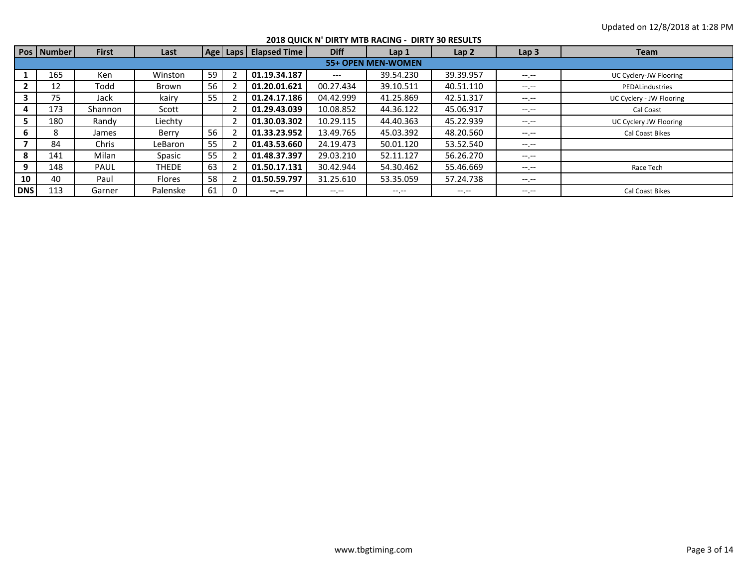|            |            |              |              |    |                       |                  | 2018 QUICK N' DIRTY MTB RACING - DIRTY 30 RESULTS |                  |                  |                          |
|------------|------------|--------------|--------------|----|-----------------------|------------------|---------------------------------------------------|------------------|------------------|--------------------------|
|            | Pos Number | <b>First</b> | Last         |    | Age Laps Elapsed Time | <b>Diff</b>      | Lap 1                                             | Lap <sub>2</sub> | Lap <sub>3</sub> | <b>Team</b>              |
|            |            |              |              |    |                       |                  | 55+ OPEN MEN-WOMEN                                |                  |                  |                          |
|            | 165        | <b>Ken</b>   | Winston      | 59 | 01.19.34.187          | $---$            | 39.54.230                                         | 39.39.957        | $-1. - -$        | UC Cyclery-JW Flooring   |
|            | 12         | Todd         | Brown        | 56 | 01.20.01.621          | 00.27.434        | 39.10.511                                         | 40.51.110        | $-1.1 -$         | PEDALindustries          |
|            | 75         | Jack         | kairy        | 55 | 01.24.17.186          | 04.42.999        | 41.25.869                                         | 42.51.317        | $-1.1 - 1.0$     | UC Cyclery - JW Flooring |
| 4          | 173        | Shannon      | Scott        |    | 01.29.43.039          | 10.08.852        | 44.36.122                                         | 45.06.917        | $-1.1 - 1.0$     | Cal Coast                |
| 5.         | 180        | Randy        | Liechty      |    | 01.30.03.302          | 10.29.115        | 44.40.363                                         | 45.22.939        | $-1.1 -$         | UC Cyclery JW Flooring   |
| 6          | 8          | James        | Berry        | 56 | 01.33.23.952          | 13.49.765        | 45.03.392                                         | 48.20.560        | $-1. - -$        | Cal Coast Bikes          |
|            | 84         | Chris        | LeBaron      | 55 | 01.43.53.660          | 24.19.473        | 50.01.120                                         | 53.52.540        | $-1.1 - 1.0$     |                          |
| 8          | 141        | Milan        | Spasic       | 55 | 01.48.37.397          | 29.03.210        | 52.11.127                                         | 56.26.270        | $-1.1 - 1.0$     |                          |
| 9          | 148        | <b>PAUL</b>  | <b>THEDE</b> | 63 | 01.50.17.131          | 30.42.944        | 54.30.462                                         | 55.46.669        | $-1.1 - 1.0$     | Race Tech                |
| 10         | 40         | Paul         | Flores       | 58 | 01.50.59.797          | 31.25.610        | 53.35.059                                         | 57.24.738        | $-1.1 - 1.0$     |                          |
| <b>DNS</b> | 113        | Garner       | Palenske     | 61 | $-2. - -$             | $-1 - 1 - 1 = 0$ | $-1.1 - 1.0$                                      | $-1. - -$        | $-1.1 - 1.0$     | Cal Coast Bikes          |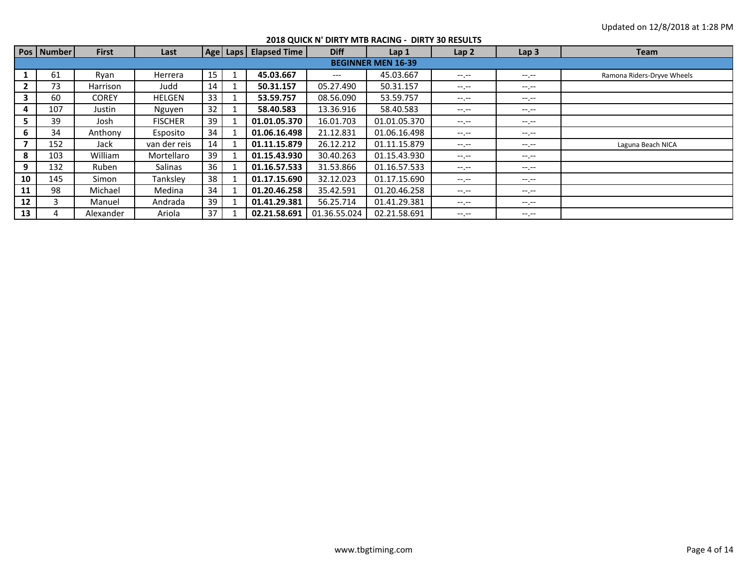|                |              |              |                |    |                         |              | 2018 QUICK N' DIRTY MTB RACING - DIRTY 30 RESULTS |                  |                  |                            |
|----------------|--------------|--------------|----------------|----|-------------------------|--------------|---------------------------------------------------|------------------|------------------|----------------------------|
|                | Pos   Number | <b>First</b> | Last           |    | Age Laps   Elapsed Time | <b>Diff</b>  | Lap <sub>1</sub>                                  | Lap <sub>2</sub> | Lap <sub>3</sub> | <b>Team</b>                |
|                |              |              |                |    |                         |              | <b>BEGINNER MEN 16-39</b>                         |                  |                  |                            |
|                | 61           | Ryan         | Herrera        | 15 | 45.03.667               | $---$        | 45.03.667                                         | $-1$ .           | $-1. - -$        | Ramona Riders-Dryve Wheels |
|                | 73           | Harrison     | Judd           | 14 | 50.31.157               | 05.27.490    | 50.31.157                                         | $-1. - -$        | $-1.1 - 1.0$     |                            |
| 3              | 60           | <b>COREY</b> | <b>HELGEN</b>  | 33 | 53.59.757               | 08.56.090    | 53.59.757                                         | $-1. - -$        | --.--            |                            |
| 4              | 107          | Justin       | Nguyen         | 32 | 58.40.583               | 13.36.916    | 58.40.583                                         | $-1$ , $-1$      | $-1.1 - 1.0$     |                            |
| 5.             | 39           | Josh         | <b>FISCHER</b> | 39 | 01.01.05.370            | 16.01.703    | 01.01.05.370                                      | $- - - - -$      | $-1.1 - 1.0$     |                            |
| 6              | 34           | Anthony      | Esposito       | 34 | 01.06.16.498            | 21.12.831    | 01.06.16.498                                      | $-1.1$           | --.--            |                            |
| $\overline{7}$ | 152          | Jack         | van der reis   | 14 | 01.11.15.879            | 26.12.212    | 01.11.15.879                                      | $- - - - -$      | $-1.1 - 1.0$     | Laguna Beach NICA          |
| 8              | 103          | William      | Mortellaro     | 39 | 01.15.43.930            | 30.40.263    | 01.15.43.930                                      | $-1. - -$        | $-1.1 - 1.0$     |                            |
| 9              | 132          | Ruben        | Salinas        | 36 | 01.16.57.533            | 31.53.866    | 01.16.57.533                                      | $-1.1$           | $-1.1 -$         |                            |
| 10             | 145          | Simon        | Tankslev       | 38 | 01.17.15.690            | 32.12.023    | 01.17.15.690                                      | $-1. - -$        | $-1.1 - 1.0$     |                            |
| 11             | 98           | Michael      | Medina         | 34 | 01.20.46.258            | 35.42.591    | 01.20.46.258                                      | $-1. - -$        | $-1.1 - 1.0$     |                            |
| 12             |              | Manuel       | Andrada        | 39 | 01.41.29.381            | 56.25.714    | 01.41.29.381                                      | $-1$ , $-1$      | $-1.1 -$         |                            |
| 13             |              | Alexander    | Ariola         | 37 | 02.21.58.691            | 01.36.55.024 | 02.21.58.691                                      | $-1. - -$        | $-1.1 -$         |                            |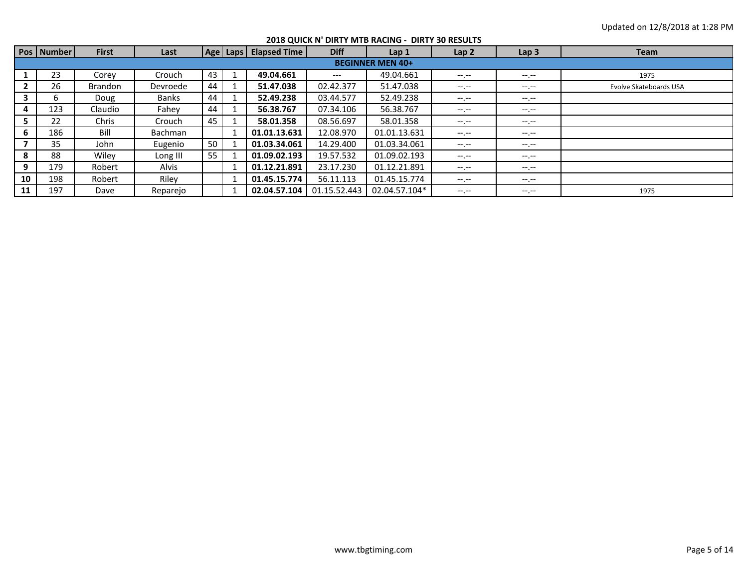|    | Pos   Number | <b>First</b>   | Last           |    | Age   Laps   Elapsed Time | <b>Diff</b>  | Lap <sub>1</sub>        | Lap 2            | Lap <sub>3</sub> | <b>Team</b>            |
|----|--------------|----------------|----------------|----|---------------------------|--------------|-------------------------|------------------|------------------|------------------------|
|    |              |                |                |    |                           |              | <b>BEGINNER MEN 40+</b> |                  |                  |                        |
|    | 23           | Corev          | Crouch         | 43 | 49.04.661                 | $---$        | 49.04.661               | $- - - - -$      | $-1.1 -$         | 1975                   |
|    | 26           | <b>Brandon</b> | Devroede       | 44 | 51.47.038                 | 02.42.377    | 51.47.038               | $-1. - -$        | $-1.1 -$         | Evolve Skateboards USA |
|    | ь            | Doug           | Banks          | 44 | 52.49.238                 | 03.44.577    | 52.49.238               | $-1. - -$        | $-1.1 -$         |                        |
| 4  | 123          | Claudio        | Fahev          | 44 | 56.38.767                 | 07.34.106    | 56.38.767               | $- - - - -$      | $- - - - -$      |                        |
| 5. | 22           | Chris          | Crouch         | 45 | 58.01.358                 | 08.56.697    | 58.01.358               | $-1. - -$        | $-1.1 -$         |                        |
| 6  | 186          | Bill           | <b>Bachman</b> |    | 01.01.13.631              | 12.08.970    | 01.01.13.631            | $-1. - -$        | $-1.1 -$         |                        |
|    | 35           | John           | Eugenio        | 50 | 01.03.34.061              | 14.29.400    | 01.03.34.061            | $-1 - 1 - 1 = 0$ | $- - - - -$      |                        |
| 8  | 88           | Wiley          | Long III       | 55 | 01.09.02.193              | 19.57.532    | 01.09.02.193            | $-1 - 1 - 1 = 0$ | $-1.1 -$         |                        |
| 9  | 179          | Robert         | Alvis          |    | 01.12.21.891              | 23.17.230    | 01.12.21.891            | $-1. - -$        | $-1.1 -$         |                        |
| 10 | 198          | Robert         | Riley          |    | 01.45.15.774              | 56.11.113    | 01.45.15.774            | $-1$ , $-1$      | $- - - - -$      |                        |
| 11 | 197          | Dave           | Reparejo       |    | 02.04.57.104              | 01.15.52.443 | 02.04.57.104*           | $-1. - -$        | $-1. -1$         | 1975                   |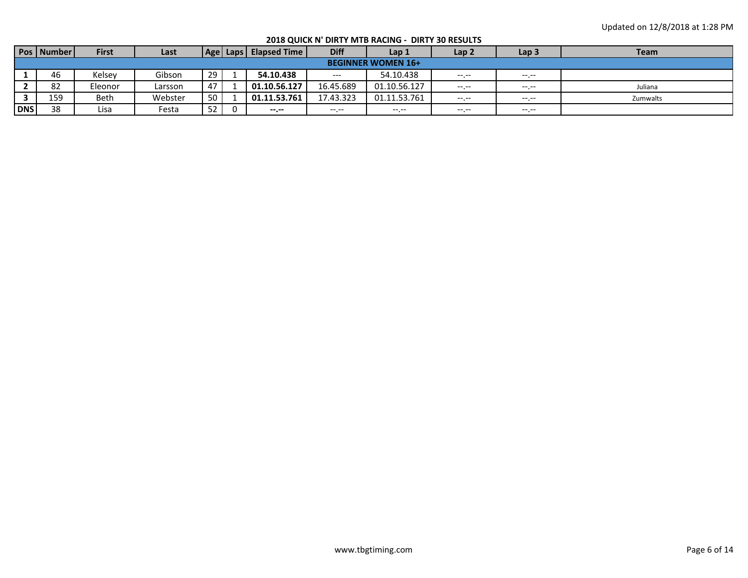**2018 QUICK N' DIRTY MTB RACING - DIRTY 30 RESULTS**

|            | Pos   Number | <b>First</b> | Last    |    | Age   Laps | <b>Elapsed Time</b> | <b>Diff</b>                         | Lap 1                     | Lap <sub>2</sub> | Lap <sub>3</sub> | <b>Team</b> |
|------------|--------------|--------------|---------|----|------------|---------------------|-------------------------------------|---------------------------|------------------|------------------|-------------|
|            |              |              |         |    |            |                     |                                     | <b>BEGINNER WOMEN 16+</b> |                  |                  |             |
|            | 46           | Kelsey       | Gibson  | 29 |            | 54.10.438           | $\hspace{0.05cm}---\hspace{0.05cm}$ | 54.10.438                 | $-1$ , $-1$      | $-1$ , $-1$      |             |
|            | 82           | Eleonor      | Larsson | 47 |            | 01.10.56.127        | 16.45.689                           | 01.10.56.127              | $-1$ , $-1$      |                  | Juliana     |
|            | 159          | <b>Beth</b>  | Webster | 50 |            | 01.11.53.761        | 17.43.323                           | 01.11.53.761              | $-1$ , $-1$      | $--- - - - -$    | Zumwalts    |
| <b>DNS</b> | 38           | Lisa         | Festa   | 52 |            | --.--               |                                     | $---$                     | $---$            | $---$            |             |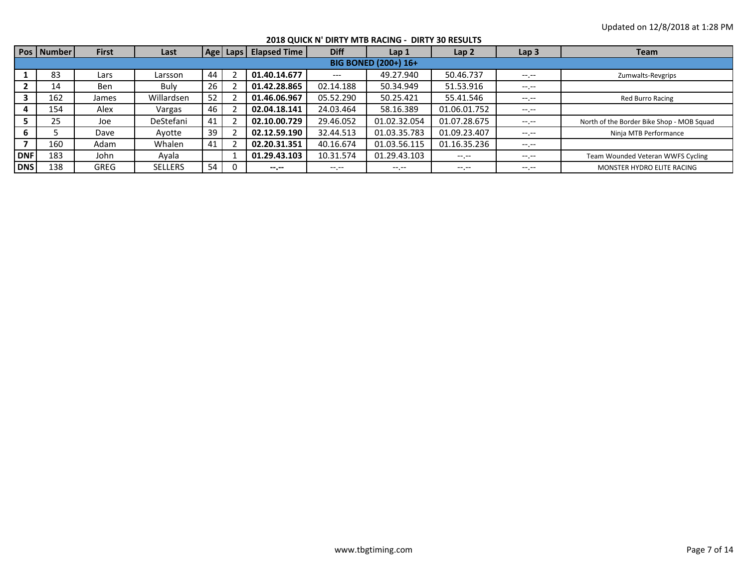|            |              |              |                |    |                       |              | 2018 QUICK N' DIRTY MTB RACING - DIRTY 30 RESULTS |                  |                  |                                           |
|------------|--------------|--------------|----------------|----|-----------------------|--------------|---------------------------------------------------|------------------|------------------|-------------------------------------------|
|            | Pos   Number | <b>First</b> | Last           |    | Age Laps Elapsed Time | <b>Diff</b>  | Lap <sub>1</sub>                                  | Lap <sub>2</sub> | Lap <sub>3</sub> | <b>Team</b>                               |
|            |              |              |                |    |                       |              | <b>BIG BONED (200+) 16+</b>                       |                  |                  |                                           |
|            | 83           | Lars         | Larsson        | 44 | 01.40.14.677          | $---$        | 49.27.940                                         | 50.46.737        | $-1.1 -$         | Zumwalts-Revgrips                         |
|            | 14           | <b>Ben</b>   | Bulv           | 26 | 01.42.28.865          | 02.14.188    | 50.34.949                                         | 51.53.916        | --.--            |                                           |
| 3          | 162          | James        | Willardsen     | 52 | 01.46.06.967          | 05.52.290    | 50.25.421                                         | 55.41.546        | --.--            | <b>Red Burro Racing</b>                   |
|            | 154          | Alex         | Vargas         | 46 | 02.04.18.141          | 24.03.464    | 58.16.389                                         | 01.06.01.752     | $- - - - -$      |                                           |
|            | 25           | Joe          | DeStefani      | 41 | 02.10.00.729          | 29.46.052    | 01.02.32.054                                      | 01.07.28.675     | $-1$ , $-1$      | North of the Border Bike Shop - MOB Squad |
|            |              | Dave         | Avotte         | 39 | 02.12.59.190          | 32.44.513    | 01.03.35.783                                      | 01.09.23.407     | $-1.1 -$         | Ninja MTB Performance                     |
|            | 160          | Adam         | Whalen         | 41 | 02.20.31.351          | 40.16.674    | 01.03.56.115                                      | 01.16.35.236     | --.--            |                                           |
| <b>DNF</b> | 183          | John         | Avala          |    | 01.29.43.103          | 10.31.574    | 01.29.43.103                                      | $- - - - -$      | $-1.1 -$         | Team Wounded Veteran WWFS Cycling         |
| <b>DNS</b> | 138          | <b>GREG</b>  | <b>SELLERS</b> | 54 | $- - - - -$           | $-1.1 - 1.0$ | $- - - - -$                                       | $-1$ .           | --.--            | MONSTER HYDRO ELITE RACING                |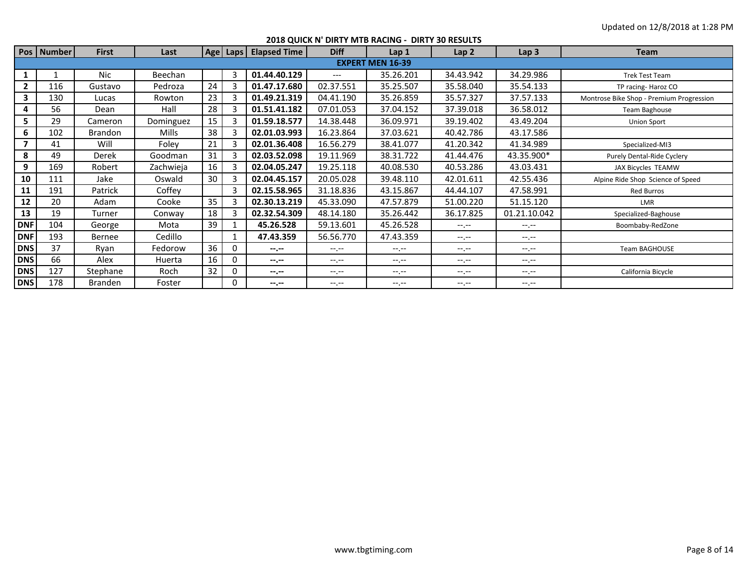|              | Pos   Number | <b>First</b>   | Last      |    | Age   Laps | <b>Elapsed Time</b> | <b>Diff</b>      | Lap <sub>1</sub>        | Lap <sub>2</sub> | Lap <sub>3</sub> | <b>Team</b>                              |
|--------------|--------------|----------------|-----------|----|------------|---------------------|------------------|-------------------------|------------------|------------------|------------------------------------------|
|              |              |                |           |    |            |                     |                  | <b>EXPERT MEN 16-39</b> |                  |                  |                                          |
| 1            |              | <b>Nic</b>     | Beechan   |    | 3          | 01.44.40.129        | $---$            | 35.26.201               | 34.43.942        | 34.29.986        | <b>Trek Test Team</b>                    |
| $\mathbf{2}$ | 116          | Gustavo        | Pedroza   | 24 |            | 01.47.17.680        | 02.37.551        | 35.25.507               | 35.58.040        | 35.54.133        | TP racing-Haroz CO                       |
| 3            | 130          | Lucas          | Rowton    | 23 | 3          | 01.49.21.319        | 04.41.190        | 35.26.859               | 35.57.327        | 37.57.133        | Montrose Bike Shop - Premium Progression |
| 4            | 56           | Dean           | Hall      | 28 | 3          | 01.51.41.182        | 07.01.053        | 37.04.152               | 37.39.018        | 36.58.012        | Team Baghouse                            |
| 5.           | 29           | Cameron        | Dominguez | 15 |            | 01.59.18.577        | 14.38.448        | 36.09.971               | 39.19.402        | 43.49.204        | <b>Union Sport</b>                       |
| 6            | 102          | <b>Brandon</b> | Mills     | 38 | 3          | 02.01.03.993        | 16.23.864        | 37.03.621               | 40.42.786        | 43.17.586        |                                          |
| 7            | 41           | Will           | Foley     | 21 |            | 02.01.36.408        | 16.56.279        | 38.41.077               | 41.20.342        | 41.34.989        | Specialized-MI3                          |
| 8            | 49           | Derek          | Goodman   | 31 | 3          | 02.03.52.098        | 19.11.969        | 38.31.722               | 41.44.476        | 43.35.900*       | Purely Dental-Ride Cyclery               |
| 9            | 169          | Robert         | Zachwieja | 16 |            | 02.04.05.247        | 19.25.118        | 40.08.530               | 40.53.286        | 43.03.431        | JAX Bicycles TEAMW                       |
| 10           | 111          | Jake           | Oswald    | 30 | 3          | 02.04.45.157        | 20.05.028        | 39.48.110               | 42.01.611        | 42.55.436        | Alpine Ride Shop Science of Speed        |
| 11           | 191          | Patrick        | Coffey    |    |            | 02.15.58.965        | 31.18.836        | 43.15.867               | 44.44.107        | 47.58.991        | <b>Red Burros</b>                        |
| 12           | 20           | Adam           | Cooke     | 35 | 3          | 02.30.13.219        | 45.33.090        | 47.57.879               | 51.00.220        | 51.15.120        | <b>LMR</b>                               |
| 13           | 19           | Turner         | Conway    | 18 | 3          | 02.32.54.309        | 48.14.180        | 35.26.442               | 36.17.825        | 01.21.10.042     | Specialized-Baghouse                     |
| <b>DNF</b>   | 104          | George         | Mota      | 39 |            | 45.26.528           | 59.13.601        | 45.26.528               | $-1$ , $-1$      | $-1$ , $-1$      | Boombaby-RedZone                         |
| <b>DNF</b>   | 193          | Bernee         | Cedillo   |    |            | 47.43.359           | 56.56.770        | 47.43.359               | $-1 - 1 - 1 = 0$ | $-1. - -$        |                                          |
| <b>DNS</b>   | 37           | Ryan           | Fedorow   | 36 | 0          | $-2 - 2 - 1$        | $-1 - 1 - 1 = 0$ | $-1$ , $-1$             | $-1 - 1 - 1 = 0$ | $-1$ , $-1$      | <b>Team BAGHOUSE</b>                     |
| <b>DNS</b>   | 66           | Alex           | Huerta    | 16 | 0          | $-1 - 1 - 1 = 0$    | $-1 - 1 - 1 = 0$ | $-1 - 1 - 1 = 0$        | $-1 - 1 - 1 = 0$ | $-1. - -$        |                                          |
| <b>DNS</b>   | 127          | Stephane       | Roch      | 32 | 0          | $-1$                | $-1 - 1 - 1 = 0$ | $-1 - 1 - 1 = 0$        | $-1 - 1 - 1 = 0$ | $-1 - 1 - 1 = 0$ | California Bicycle                       |
| <b>DNS</b>   | 178          | Branden        | Foster    |    | 0          | $-1 - 1 - 1 = 0$    | $-1 - 1 - 1 = 0$ | $-1 - 1 - 1 = 0$        | $-1 - 1 - 1 = 0$ | $-1. - -$        |                                          |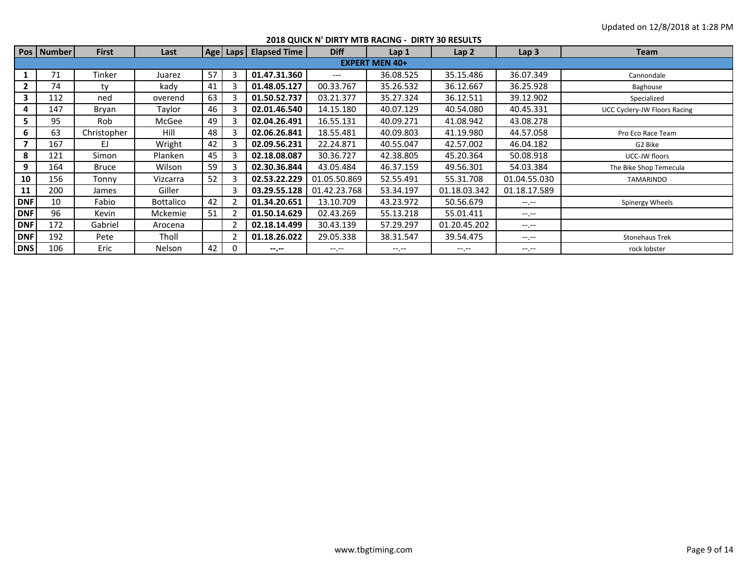|              |              |              |                  |    |          |                     |                  | 2018 QUICK N' DIRTY MTB RACING - DIRTY 30 RESULTS |                  |                  |                              |
|--------------|--------------|--------------|------------------|----|----------|---------------------|------------------|---------------------------------------------------|------------------|------------------|------------------------------|
|              | Pos   Number | <b>First</b> | Last             |    | Age Laps | <b>Elapsed Time</b> | <b>Diff</b>      | Lap <sub>1</sub>                                  | Lap <sub>2</sub> | Lap <sub>3</sub> | <b>Team</b>                  |
|              |              |              |                  |    |          |                     |                  | <b>EXPERT MEN 40+</b>                             |                  |                  |                              |
|              | 71           | Tinker       | Juarez           | 57 | З        | 01.47.31.360        | $---$            | 36.08.525                                         | 35.15.486        | 36.07.349        | Cannondale                   |
| $\mathbf{2}$ | 74           | tv           | kady             | 41 |          | 01.48.05.127        | 00.33.767        | 35.26.532                                         | 36.12.667        | 36.25.928        | Baghouse                     |
| 3            | 112          | ned          | overend          | 63 | 3        | 01.50.52.737        | 03.21.377        | 35.27.324                                         | 36.12.511        | 39.12.902        | Specialized                  |
| 4            | 147          | Bryan        | Taylor           | 46 |          | 02.01.46.540        | 14.15.180        | 40.07.129                                         | 40.54.080        | 40.45.331        | UCC Cyclery-JW Floors Racing |
| 5.           | 95           | Rob          | McGee            | 49 | 3        | 02.04.26.491        | 16.55.131        | 40.09.271                                         | 41.08.942        | 43.08.278        |                              |
| 6            | 63           | Christopher  | Hill             | 48 | 3        | 02.06.26.841        | 18.55.481        | 40.09.803                                         | 41.19.980        | 44.57.058        | Pro Eco Race Team            |
|              | 167          | EJ.          | Wright           | 42 |          | 02.09.56.231        | 22.24.871        | 40.55.047                                         | 42.57.002        | 46.04.182        | G2 Bike                      |
| 8            | 121          | Simon        | Planken          | 45 | 3        | 02.18.08.087        | 30.36.727        | 42.38.805                                         | 45.20.364        | 50.08.918        | UCC-JW floors                |
| 9            | 164          | Bruce        | Wilson           | 59 | 3        | 02.30.36.844        | 43.05.484        | 46.37.159                                         | 49.56.301        | 54.03.384        | The Bike Shop Temecula       |
| 10           | 156          | Tonny        | Vizcarra         | 52 | 3        | 02.53.22.229        | 01.05.50.869     | 52.55.491                                         | 55.31.708        | 01.04.55.030     | TAMARINDO                    |
| 11           | 200          | James        | Giller           |    | 3        | 03.29.55.128        | 01.42.23.768     | 53.34.197                                         | 01.18.03.342     | 01.18.17.589     |                              |
| <b>DNF</b>   | 10           | Fabio        | <b>Bottalico</b> | 42 |          | 01.34.20.651        | 13.10.709        | 43.23.972                                         | 50.56.679        | $-1 - 1 - 1 = 0$ | Spinergy Wheels              |
| <b>DNF</b>   | 96           | Kevin        | Mckemie          | 51 |          | 01.50.14.629        | 02.43.269        | 55.13.218                                         | 55.01.411        | $-1 - 1 - 1 = 0$ |                              |
| <b>DNF</b>   | 172          | Gabriel      | Arocena          |    |          | 02.18.14.499        | 30.43.139        | 57.29.297                                         | 01.20.45.202     | $-1 - 1 - 1 = 0$ |                              |
| <b>DNF</b>   | 192          | Pete         | Tholl            |    |          | 01.18.26.022        | 29.05.338        | 38.31.547                                         | 39.54.475        | $-1 - 1 - 1 = 0$ | <b>Stonehaus Trek</b>        |
| <b>DNS</b>   | 106          | Eric         | Nelson           | 42 | $\Omega$ | $-1$                | $-1 - 1 - 1 = 0$ | $-1$ , $-1$                                       | $-1 - 1 - 1 = 0$ | $-1. -1$         | rock lobster                 |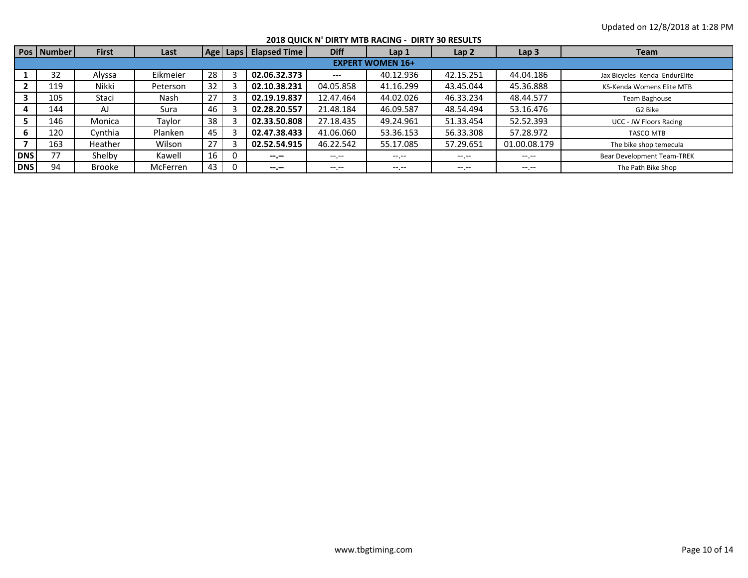|            |            |               |          |    |                         |              | 2018 QUICK N' DIRTY MTB RACING - DIRTY 30 RESULTS |                  |                  |                               |
|------------|------------|---------------|----------|----|-------------------------|--------------|---------------------------------------------------|------------------|------------------|-------------------------------|
|            | Pos Number | <b>First</b>  | Last     |    | Age Laps   Elapsed Time | <b>Diff</b>  | Lap <sub>1</sub>                                  | Lap <sub>2</sub> | Lap <sub>3</sub> | <b>Team</b>                   |
|            |            |               |          |    |                         |              | <b>EXPERT WOMEN 16+</b>                           |                  |                  |                               |
|            | 32         | Alyssa        | Eikmeier | 28 | 02.06.32.373            | $---$        | 40.12.936                                         | 42.15.251        | 44.04.186        | Jax Bicycles Kenda EndurElite |
|            | 119        | Nikki         | Peterson | 32 | 02.10.38.231            | 04.05.858    | 41.16.299                                         | 43.45.044        | 45.36.888        | KS-Kenda Womens Elite MTB     |
|            | 105        | Staci         | Nash     | 27 | 02.19.19.837            | 12.47.464    | 44.02.026                                         | 46.33.234        | 48.44.577        | Team Baghouse                 |
|            | 144        | AJ            | Sura     | 46 | 02.28.20.557            | 21.48.184    | 46.09.587                                         | 48.54.494        | 53.16.476        | G2 Bike                       |
|            | 146        | Monica        | Taylor   | 38 | 02.33.50.808            | 27.18.435    | 49.24.961                                         | 51.33.454        | 52.52.393        | <b>UCC - JW Floors Racing</b> |
| 6          | 120        | Cynthia       | Planken  | 45 | 02.47.38.433            | 41.06.060    | 53.36.153                                         | 56.33.308        | 57.28.972        | <b>TASCO MTB</b>              |
|            | 163        | Heather       | Wilson   | 27 | 02.52.54.915            | 46.22.542    | 55.17.085                                         | 57.29.651        | 01.00.08.179     | The bike shop temecula        |
| <b>DNS</b> | 77         | Shelby        | Kawell   | 16 | $- - - - -$             | $-1.1 - 1.0$ | $- - - - -$                                       | $- - - - -$      | $-1.1 -$         | Bear Development Team-TREK    |
| <b>DNS</b> | 94         | <b>Brooke</b> | McFerren | 43 | $- - - - -$             | $-1. - -$    | $-1$ . $-1$                                       | $- - - - -$      | $-1.1 -$         | The Path Bike Shop            |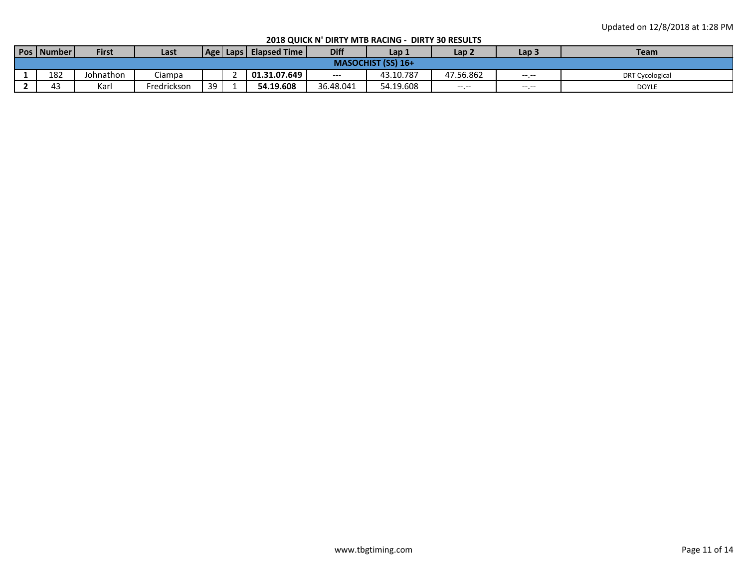|     | <b>First</b> | Last                  |    | <b>Elapsed Time I</b> | <b>Diff</b> | Lap 1     | Lap 2                     | Lap <sub>3</sub> | <b>Team</b>            |
|-----|--------------|-----------------------|----|-----------------------|-------------|-----------|---------------------------|------------------|------------------------|
|     |              |                       |    |                       |             |           |                           |                  |                        |
| 182 | Johnathon    | Ciampa                |    | 01.31.07.649          | $---$       | 43.10.787 | 47.56.862                 | $---$            | <b>DRT Cycological</b> |
| 43  | Karl         | Fredrickson           | 39 | 54.19.608             | 36.48.041   | 54.19.608 | $---$                     | $---$            | <b>DOYLE</b>           |
|     |              | <b>Pos   Number  </b> |    |                       | Age   Laps  |           | <b>MASOCHIST (SS) 16+</b> |                  |                        |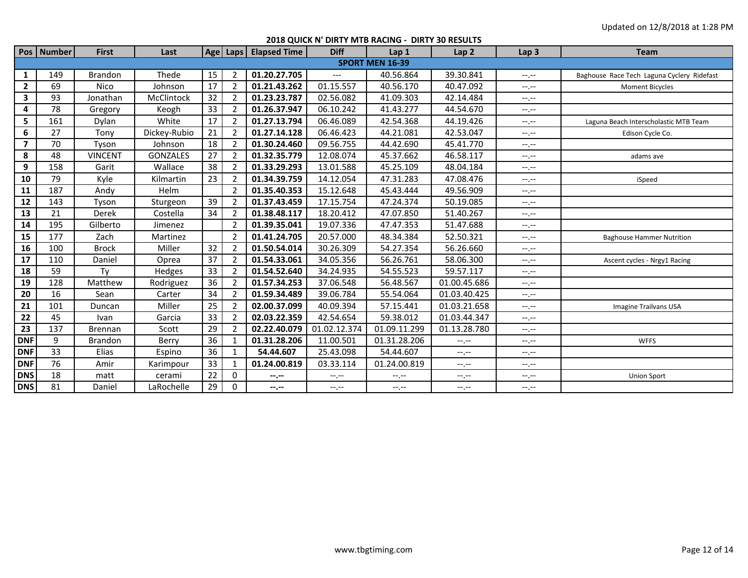**2018 QUICK N' DIRTY MTB RACING - DIRTY 30 RESULTS**

|                | Pos   Number           | <b>First</b>   | Last            | Age |                | Laps   Elapsed Time       | <b>Diff</b>  | Lap 1        | Lap <sub>2</sub> | Lap <sub>3</sub>            | <b>Team</b>                                |
|----------------|------------------------|----------------|-----------------|-----|----------------|---------------------------|--------------|--------------|------------------|-----------------------------|--------------------------------------------|
|                | <b>SPORT MEN 16-39</b> |                |                 |     |                |                           |              |              |                  |                             |                                            |
| $\mathbf{1}$   | 149                    | <b>Brandon</b> | Thede           | 15  | $\overline{2}$ | 01.20.27.705              | $---$        | 40.56.864    | 39.30.841        | $-1 - 1 - 1 = 0$            | Baghouse Race Tech Laguna Cyclery Ridefast |
| $\overline{2}$ | 69                     | Nico           | Johnson         | 17  | 2              | 01.21.43.262              | 01.15.557    | 40.56.170    | 40.47.092        | $-1, -1$                    | <b>Moment Bicycles</b>                     |
| 3              | 93                     | Jonathan       | McClintock      | 32  |                | 01.23.23.787              | 02.56.082    | 41.09.303    | 42.14.484        | $-1, -1$                    |                                            |
| 4              | 78                     | Gregory        | Keogh           | 33  |                | $\overline{01.26.37.947}$ | 06.10.242    | 41.43.277    | 44.54.670        | $-1, -1$                    |                                            |
| 5              | 161                    | Dylan          | White           | 17  |                | 01.27.13.794              | 06.46.089    | 42.54.368    | 44.19.426        | $-1, -1$                    | Laguna Beach Interscholastic MTB Team      |
| 6              | 27                     | Tony           | Dickey-Rubio    | 21  | 2              | 01.27.14.128              | 06.46.423    | 44.21.081    | 42.53.047        | $-1, -1$                    | Edison Cycle Co.                           |
| $\overline{ }$ | 70                     | Tyson          | Johnson         | 18  |                | 01.30.24.460              | 09.56.755    | 44.42.690    | 45.41.770        | $-1, -1$                    |                                            |
| 8              | 48                     | <b>VINCENT</b> | <b>GONZALES</b> | 27  |                | 01.32.35.779              | 12.08.074    | 45.37.662    | 46.58.117        | $-1, -1$                    | adams ave                                  |
| 9              | 158                    | Garit          | Wallace         | 38  |                | 01.33.29.293              | 13.01.588    | 45.25.109    | 48.04.184        | $-1, -1$                    |                                            |
| 10             | 79                     | Kyle           | Kilmartin       | 23  | 2              | 01.34.39.759              | 14.12.054    | 47.31.283    | 47.08.476        | $-1, -1$                    | iSpeed                                     |
| 11             | 187                    | Andy           | <b>Helm</b>     |     |                | 01.35.40.353              | 15.12.648    | 45.43.444    | 49.56.909        | $-1, -1$                    |                                            |
| 12             | 143                    | Tyson          | Sturgeon        | 39  |                | 01.37.43.459              | 17.15.754    | 47.24.374    | 50.19.085        | $-1$                        |                                            |
| 13             | 21                     | Derek          | Costella        | 34  |                | 01.38.48.117              | 18.20.412    | 47.07.850    | 51.40.267        | $-1, -1$                    |                                            |
| 14             | 195                    | Gilberto       | Jimenez         |     |                | 01.39.35.041              | 19.07.336    | 47.47.353    | 51.47.688        | $-1, -1$                    |                                            |
| 15             | 177                    | Zach           | Martinez        |     |                | 01.41.24.705              | 20.57.000    | 48.34.384    | 52.50.321        | $-1, -1$                    | <b>Baghouse Hammer Nutrition</b>           |
| 16             | 100                    | <b>Brock</b>   | Miller          | 32  |                | 01.50.54.014              | 30.26.309    | 54.27.354    | 56.26.660        | $-1, -1$                    |                                            |
| 17             | 110                    | Daniel         | Oprea           | 37  |                | 01.54.33.061              | 34.05.356    | 56.26.761    | 58.06.300        | $-1, -1$                    | Ascent cycles - Nrgy1 Racing               |
| 18             | 59                     | Ty             | Hedges          | 33  | $\mathcal{P}$  | 01.54.52.640              | 34.24.935    | 54.55.523    | 59.57.117        | $-1, -1$                    |                                            |
| 19             | 128                    | Matthew        | Rodriguez       | 36  |                | 01.57.34.253              | 37.06.548    | 56.48.567    | 01.00.45.686     | $-1, -1$                    |                                            |
| 20             | 16                     | Sean           | Carter          | 34  |                | 01.59.34.489              | 39.06.784    | 55.54.064    | 01.03.40.425     | $-1$                        |                                            |
| 21             | 101                    | Duncan         | Miller          | 25  |                | 02.00.37.099              | 40.09.394    | 57.15.441    | 01.03.21.658     | $-1, -1$                    | Imagine Trailvans USA                      |
| 22             | 45                     | Ivan           | Garcia          | 33  |                | 02.03.22.359              | 42.54.654    | 59.38.012    | 01.03.44.347     | $-1, -1$                    |                                            |
| 23             | 137                    | <b>Brennan</b> | Scott           | 29  |                | 02.22.40.079              | 01.02.12.374 | 01.09.11.299 | 01.13.28.780     | $-1, -1$                    |                                            |
| <b>DNF</b>     | 9                      | <b>Brandon</b> | Berry           | 36  |                | 01.31.28.206              | 11.00.501    | 01.31.28.206 | --.--            | --.--                       | <b>WFFS</b>                                |
| <b>DNF</b>     | 33                     | Elias          | Espino          | 36  |                | 54.44.607                 | 25.43.098    | 54.44.607    | $-1$             | $-1 - 1 - 1 = 0$            |                                            |
| <b>DNF</b>     | 76                     | Amir           | Karimpour       | 33  |                | 01.24.00.819              | 03.33.114    | 01.24.00.819 | $-1, -1$         | --.--                       |                                            |
| <b>DNS</b>     | 18                     | matt           | cerami          | 22  | 0              | $-2$                      | $-1, -1$     | $-1, -1$     | $-1, -1$         | $\leftarrow$ , $\leftarrow$ | <b>Union Sport</b>                         |
| <b>DNS</b>     | 81                     | Daniel         | LaRochelle      | 29  | 0              | --.--                     | $-1.7 -$     | --.--        | $-1, -1$         | $-1.1 -$                    |                                            |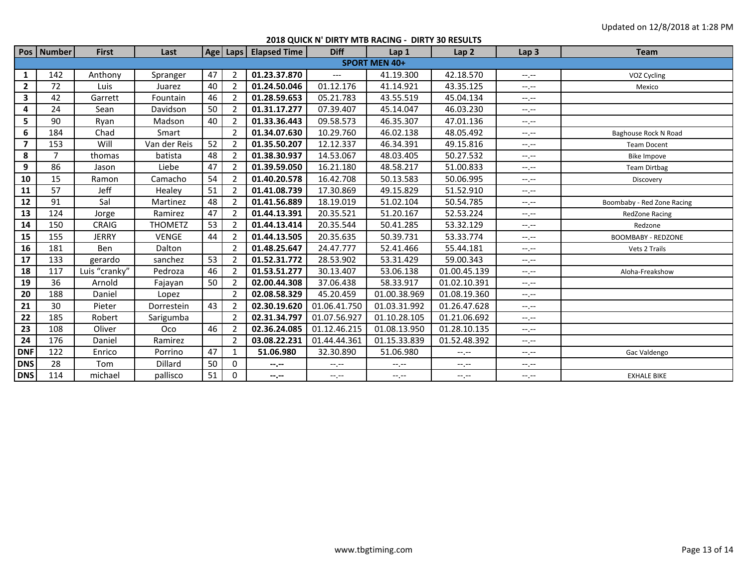|                      | Pos   Number | <b>First</b>  | Last           |    |                | Age   Laps   Elapsed Time | <b>Diff</b>      | Lap 1        | Lap <sub>2</sub> | Lap <sub>3</sub> | <b>Team</b>                |
|----------------------|--------------|---------------|----------------|----|----------------|---------------------------|------------------|--------------|------------------|------------------|----------------------------|
| <b>SPORT MEN 40+</b> |              |               |                |    |                |                           |                  |              |                  |                  |                            |
| 1                    | 142          | Anthony       | Spranger       | 47 | $\overline{2}$ | 01.23.37.870              | $---$            | 41.19.300    | 42.18.570        | $--, --$         | VOZ Cycling                |
| $\mathbf{2}$         | 72           | Luis          | Juarez         | 40 |                | 01.24.50.046              | 01.12.176        | 41.14.921    | 43.35.125        | $-1 - 1 - 1 = 0$ | Mexico                     |
| $\mathbf{3}$         | 42           | Garrett       | Fountain       | 46 | 2              | 01.28.59.653              | 05.21.783        | 43.55.519    | 45.04.134        | $-1 - 1 - 1 = 0$ |                            |
| 4                    | 24           | Sean          | Davidson       | 50 | $\overline{2}$ | 01.31.17.277              | 07.39.407        | 45.14.047    | 46.03.230        | $-1 - 1 - 1 = 0$ |                            |
| 5                    | 90           | Ryan          | Madson         | 40 |                | 01.33.36.443              | 09.58.573        | 46.35.307    | 47.01.136        | $-1 - 1 - 1 = 0$ |                            |
| 6                    | 184          | Chad          | Smart          |    | $\mathcal{P}$  | 01.34.07.630              | 10.29.760        | 46.02.138    | 48.05.492        | $-1 - 1 - 1 = 0$ | Baghouse Rock N Road       |
| $\overline{ }$       | 153          | Will          | Van der Reis   | 52 |                | 01.35.50.207              | 12.12.337        | 46.34.391    | 49.15.816        | $-1, -1$         | <b>Team Docent</b>         |
| 8                    | 7            | thomas        | batista        | 48 | 2              | 01.38.30.937              | 14.53.067        | 48.03.405    | 50.27.532        | $-1 - 1 - 1 = 0$ | <b>Bike Impove</b>         |
| 9                    | 86           | Jason         | Liebe          | 47 | 2              | 01.39.59.050              | 16.21.180        | 48.58.217    | 51.00.833        | $-1, -1$         | <b>Team Dirtbag</b>        |
| 10                   | 15           | Ramon         | Camacho        | 54 | 2              | 01.40.20.578              | 16.42.708        | 50.13.583    | 50.06.995        | $-1, -1$         | Discovery                  |
| 11                   | 57           | Jeff          | Healey         | 51 | $\overline{2}$ | 01.41.08.739              | 17.30.869        | 49.15.829    | 51.52.910        | $-1, -1$         |                            |
| 12                   | 91           | Sal           | Martinez       | 48 | 2              | 01.41.56.889              | 18.19.019        | 51.02.104    | 50.54.785        | $-1, -1$         | Boombaby - Red Zone Racing |
| 13                   | 124          | Jorge         | Ramirez        | 47 |                | 01.44.13.391              | 20.35.521        | 51.20.167    | 52.53.224        | $-1.1 -$         | <b>RedZone Racing</b>      |
| 14                   | 150          | <b>CRAIG</b>  | <b>THOMETZ</b> | 53 |                | 01.44.13.414              | 20.35.544        | 50.41.285    | 53.32.129        | $-1, -1$         | Redzone                    |
| 15                   | 155          | <b>JERRY</b>  | <b>VENGE</b>   | 44 | 2              | 01.44.13.505              | 20.35.635        | 50.39.731    | 53.33.774        | $-1 - 1 - 1 = 0$ | <b>BOOMBABY - REDZONE</b>  |
| 16                   | 181          | Ben           | Dalton         |    |                | 01.48.25.647              | 24.47.777        | 52.41.466    | 55.44.181        | $-1, -1$         | Vets 2 Trails              |
| 17                   | 133          | gerardo       | sanchez        | 53 |                | 01.52.31.772              | 28.53.902        | 53.31.429    | 59.00.343        | $-1 - 1 - 1 = 0$ |                            |
| 18                   | 117          | Luis "cranky" | Pedroza        | 46 | $\overline{2}$ | 01.53.51.277              | 30.13.407        | 53.06.138    | 01.00.45.139     | $-1, -1$         | Aloha-Freakshow            |
| 19                   | 36           | Arnold        | Fajayan        | 50 |                | 02.00.44.308              | 37.06.438        | 58.33.917    | 01.02.10.391     | $-1. -1$         |                            |
| 20                   | 188          | Daniel        | Lopez          |    | 2              | 02.08.58.329              | 45.20.459        | 01.00.38.969 | 01.08.19.360     | $-1 - 1 - 1 = 0$ |                            |
| 21                   | 30           | Pieter        | Dorrestein     | 43 |                | 02.30.19.620              | 01.06.41.750     | 01.03.31.992 | 01.26.47.628     | $-1, -1$         |                            |
| 22                   | 185          | Robert        | Sarigumba      |    | $\overline{2}$ | 02.31.34.797              | 01.07.56.927     | 01.10.28.105 | 01.21.06.692     | $--, --$         |                            |
| 23                   | 108          | Oliver        | Oco            | 46 |                | 02.36.24.085              | 01.12.46.215     | 01.08.13.950 | 01.28.10.135     | $-1, -1$         |                            |
| 24                   | 176          | Daniel        | Ramirez        |    | 2              | 03.08.22.231              | 01.44.44.361     | 01.15.33.839 | 01.52.48.392     | $-1, -1$         |                            |
| <b>DNF</b>           | 122          | Enrico        | Porrino        | 47 | $\mathbf{1}$   | 51.06.980                 | 32.30.890        | 51.06.980    | $-1, -1$         | $-1, -1$         | Gac Valdengo               |
| <b>DNS</b>           | 28           | Tom           | Dillard        | 50 | 0              | --.--                     | $-1, -1$         | --.--        | $-1, -1$         | $-1, -1$         |                            |
| <b>DNS</b>           | 114          | michael       | pallisco       | 51 | 0              | --.--                     | $-1 - 1 - 1 = 0$ | $-1.1 -$     | --.--            | $-1.1 -$         | <b>EXHALE BIKE</b>         |